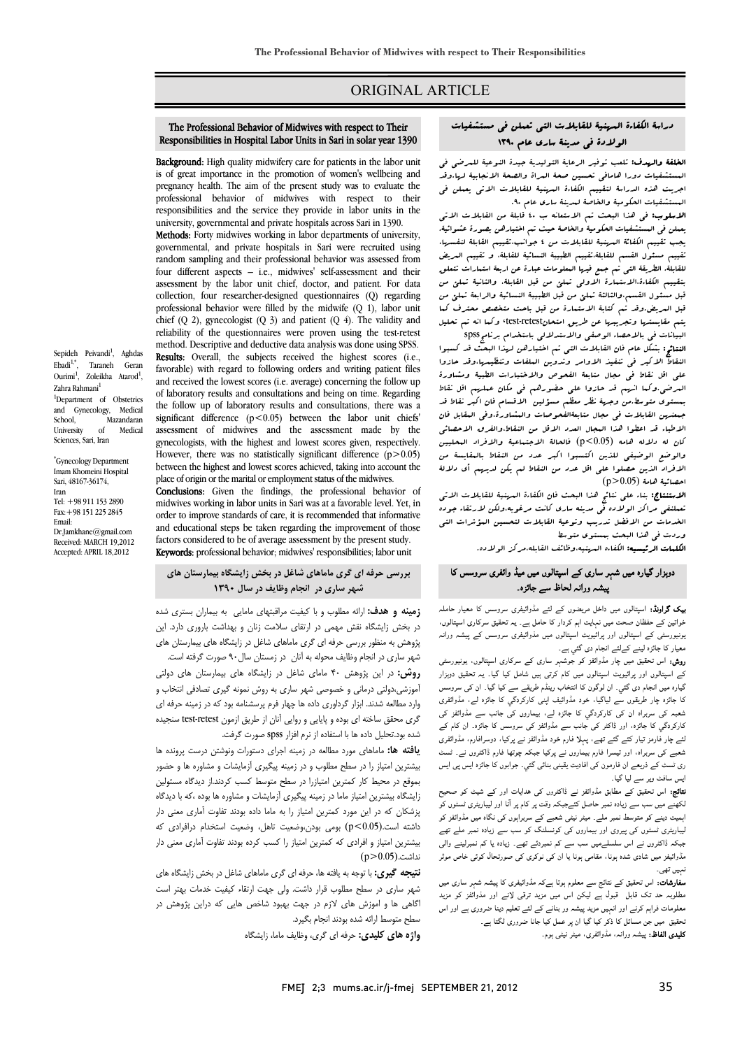# ORIGINAL ARTICLE

## دراسة الكفاءة المهنية للقابلات التي تعملن في مستشفيات<br>العاملية العاملية في مستقدمات الولادة في مدينة ساري عام 1390

Ī  $\overline{a}$ 

 الخلفة والهدف: تلعب توفير الرعاية التوليدية جيدة النوعية للمرضى في المستشفيات والمستحدث مستثب المستخدمات المستخدمية المستخدمي المستخدمي المستخدمي المراء وقد<br>المستشفيات دورا هامافي تحسين صحة البراة والصحة الانجابية لرما،وقد اجريت هذه الدراسة لتقييم الكفاءة المهنية للقابلات الاتي يعملن في المستشفيات الحكومية والخاصة لمدينة ساري عام .90

يعرضوب في المستشفيات الحكومية والخاصة حيث تم حيث من المستورث الصحيح حيث الحكومية.<br>بعملن في المستشفيات الحكومية والخاصة حيث تم اختيارهن بصورة عشوائية. يجب تقييم الكفائة المهنية للقابلات من 4 جوانب،تقييم القابلة لنفسها، تقييم مسئول القسم للقابلة،تقييم الطبيبة النسائية للقابلة، و تقييم المريض<br>تقييم مسئول تقييد بتقييم الكفاءة،الاستمارة الاولى تملئ من قبل القابلة، والثانية تملئ من قبل مسئول القسم،والثالثة تملئ من قبل الطبيبة النسائية والرابعة تملئ من قبل العريض.وقد تم كتابة الاستعارة من قبل باحت متخصص محترف كعا<br>مد اقتلاب من تقديم العظيم العامل باعثام (steet reteet) البيانات في بالاحصاء الوصفي والاستدلالي باستخدام برنامجspss الاسلوب: في هذا البحث تم الاستعانه ب 40 قابلة من القابلات الاتي للقابلة. الطريقة التي تم جمع فيها المعلومات عبارة عن اربعة استمارات تتعلق يتم مقايستها وتجريبها عن طريق امتحانretest-test، وكما انه تم تحليل

ا**لنتائج:** بشكل عام فان القابلات التى تم اختيارهن لهذا البحث قد كسبوا استار الا نبر في تنقيد الاوامر وتدوين البلقاب وتنقيبها وقد حاروا<br>على اقل نقاط في مجال متابعة الفحوص والاختبارات الطبية ومشاورة المرضى.وكما انهم قد حازوا علي حضورهم في مكان عملهم اقل نقاط بمستوى متوسط.من وجهة نظر معظم مسؤلين الاقسام فان اكبر نقاط قد بيتسرس العابانيات في حبال العابية العشو عناصر والعساور باروسي العنابل عال<br>الاطباء قد اعطوا هذا البجال العدد الاقل من النقاط،والفرق الاحصائي كان له دلاله هامه (0.05>p (فالحالة الاجتماعية والافراد المحليين والوضع الوضيفى للذين اكتسبوا اكبر عدد من النقاط بالبقايسة من<br>من المستخدمات احصائية هامة (0.05<p ( النقاط الاكبر في تنفيذ الاوامر وتدوين الملفات وتنظيمها،وقد حازوا جمعنهن القابلات في مجال متابعةالفحوصات والمشاورة،وفي المقابل فان الافراد الذين حصلوا علي اقل عدد من النقاط لم يكن لديهم أي دلالة

 الاستنتاج: بناء على نتائج هذا البحث فان الكفاءة المهنية للقابلات الاتي تعملنفي مراكز الولاده في مدينه ساري كانت مرغوبه،ولكن لارتقاء جوده<br>باشد و مدين المارتزيد و مستقدم به مدينة الماري و بار وردت في هذا البحث بمستوى متوسط الخدمات من الافضل تدريب وتوعية القابلات لتحسين المؤشرات التي

الكلمات الرئيسيه: الكفاءه المهنيه،وظائف القابله،مركز الولاده.

# دوہزار گيارہ میں شہر ساری کے اسپتالوں میں میڈ وائفری سروسس کا پیشہ ورانہ لحاظ سے جائزہ۔

 بیک گراونڈ: اسپتالوں میں داخل مریضوں کے لئے مڈوائیفری سروسس کا معیار حاملہ خواتین کے حفظان صحت میں نہایت اہم کردار کا حامل ہے۔ یہ تحقیق سرکاری اسپتالوں، یونیورسٹی کے اسپتالوں اور پرائيویٹ اسپتالوں میں مذوائیفری سروسس کے پیشہ ورانہ معیار کا جائزہ لینے کےلئے انجام دی گئي ہے۔

 روش: اس تحقیق میں چار مڈوائفز کو جوشہر ساری کے سرکاری اسپتالوں، یونیورسٹی کے اسپتالوں اور پرائيویٹ اسپتالوں میں کام کرتی ہیں شامل کیا گيا۔ یہ تحقیق دوہزار ںیارہ میں البہم تنی سي۔ ان تونوں ن اسحاب ریندم طریقے سے نیا تیا۔ ان ن*ی سروس*س<br>کا جائزہ چار طریقوں سے لیاگیا، خود مڈوائیف اپنی کارکردگي کا جائزہ لے، مڈوائفری شعبہ کی سربراہ ان کی کارکردگي کا جائزہ لے، بیماروں کی جانب سے مڈوائفز کی کارکردگي کا جائزہ، اور ڈاکٹر کی جانب سے مڈوائفز کی سروسس کا جائزہ۔ ان کام کے<br>یہ سیاسنا سے ایک گھریب میں ادبار ہے جہاں میں کہا جاتا ہے جہاں شعبے کی سربراہ، اور تیسرا فارم بیماروں نے پرکیا جبکہ چوتھا فارم ڈاکٹروں نے۔ ٹسٹ ری ٹسٹ کے ذریعے ان فارمون کی افادیت یقینی بنائی گئي۔ جوابوں کا جائزہ ایس پی ایس گيارہ میں انجام دی گئي۔ ان لوگون کا انتخاب رینڈم طریقے سے کیا گيا۔ ان کی سروسس لئے چار فارمز تیار کئے گئے تھے، پہلا فارم خود مڈوائفز نے پرکیا، دوسرافارم، مڈوائفری ایس سافٹ ویر سے لیا گيا۔

یس سافت ویر سے بیا ہیا۔<br>**نتائیج:** اس تحقیق کے مطابق مڈوائفز نے ڈاکٹروں کی ہدایات اور کے شیٹ کو صحیح لکھنے میں سب سے زیادہ نمبر حاصل کئےجبکہ وقت پر کام پر آنا اور لیباریٹری ٹسٹوں کو اہمیت دینے کو متوسط نمبر ملے۔ میٹر نیٹی شعبے کے سربراہوں کی نگاہ میں مڈوائفز کو جبکہ ڈاکٹروں نے اس سلسلےمیں سب سے کم نمبردئے تھے۔ زیادہ یا کم نمبرلینے والی مڈوائيفز میں شادی شدہ ہونا، مقامی ہونا یا ان کی نوکری کی صورتحال کوئی خاص موثر لیباریٹری ٹسٹوں کی پیروی اور بیماروں کی کونسلنگ کو سب سے زیادہ نمبر ملے تھے نہیں تھی۔

مہیں تھی.<br>**سفارشات:** اس تحقیق کے نتائج سے معلوم ہوتا ہےکہ مڈوائیفری کا پیشہ شہر ساری میں مطلوبہ حد تک قابل قبول ہے لیکن اس میں مزید ترقی لانے اور مذوائفز کو مزید معلومات فراہم کرنے اور انہیں مزید پیشہ ور بنانے کے لئے تعلیم دینا ضروری ہے اور اس یں سے بیت ہیں۔<br>**کلیدی الفاظ:** پیشہ ورانہ، مڈوائفری، میٹر نیٹی ہوم۔ تحقیق میں جن مسائل کا ذکر کیا گيا ان پر عمل کیا جانا ضروری لگتا ہے۔

#### Responsibilities in Hospital Labor Units in Sari in solar year 1390 The Professional Behavior of Midwives with respect to Their

Ī  $\overline{a}$ 

**Background:** High quality midwifery care for patients in the labor unit **EXAMPLE IN THE PROPERTY CALC TO PATCHES IN THE TABOT CITY**<br>is of great importance in the promotion of women's wellbeing and pregnancy health. The aim of the present study was to evaluate the responsibilities and the service they provide in labor units in the university, governmental and private hospitals across Sari in 1390. professional behavior of midwives with respect to their

memous: rorty inidwives working in labor departments of university,<br>governmental, and private hospitals in Sari were recruited using random sampling and their professional behavior was assessed from assessment by the labor unit chief, doctor, and patient. For data collection, four researcher-designed questionnaires (Q) regarding protessional behavior were lined by the midwife  $(Q_1)$ , fabor unit<br>chief  $(Q_2)$ , gynecologist  $(Q_3)$  and patient  $(Q_4)$ . The validity and reliability of the questionnaires were proven using the test-retest method. Descriptive and deductive data analysis was done using SPSS.<br>**Results**: Overall, the subjects received the highest scores (i.e., Methods: Forty midwives working in labor departments of university, four different aspects – i.e., midwives' self-assessment and their professional behavior were filled by the midwife (Q 1), labor unit method. Descriptive and deductive data analysis was done using SPSS.

 favorable) with regard to following orders and writing patient files and received the lowest scores (i.e. average) concerning the follow up<br>of laboratory results and consultations and being on time. Perceding the follow up of laboratory results and consultations, there was a significant difference  $(p<0.05)$  between the labor unit chiefs' gynecologists, with the highest and lowest scores given, respectively. However, there was no statistically significant difference  $(p>0.05)$  place of origin or the marital or employment status of the midwives. of laboratory results and consultations and being on time. Regarding assessment of midwives and the assessment made by the between the highest and lowest scores achieved, taking into account the

**Conclusions:** Given the findings, the professional behavior of order to improve standards of care, it is recommended that informative and educational steps be taken regarding the improvement of those<br>factors are ideal to be of ungage assessment by the masses that Keywords: professional behavior; midwives' responsibilities; labor unit midwives working in labor units in Sari was at a favorable level. Yet, in factors considered to be of average assessment by the present study.

# **بررسي حرفه اي گري ماماهاي شاغل در بخش زايشگاه بيمارستان هاي شهر ساري در انجام وظايف در سال 1390**

 **زمينه و هدف:** ارائه مطلوب و با كيفيت مراقبتهاي مامايي به بيماران بستري شده در بخش زايشگاه نقش مهمي در ارتقاي سلامت زنان و بهداشت باروري دارد. اين پژوهش به منظور بررسي حرفه اي گري ماماهاي شاغل در زايشگاه هاي بيمارستان هاي شهر ساري در انجام وظايف محوله به آنان در زمستان سال90 صورت گرفته است. **روش:** در اين پژوهش 40 ماماي شاغل در زايشگاه هاي بيمارستان هاي دولتي آموزشي،دولتي درماني و خصوصي شهر ساري به روش نمونه گيري تصادفي انتخاب و وارد مصاحب سنگته ايراز ابراتوري صاحب پهر برم پرسستاند بود به در رئيسه مرتب .<br>گري محقق ساخته اي بوده و پايايي و روايي آنان از طريق ازمون test-retest سنجيده شده بود.تحليل داده ها با استفاده از نرم افزار spss صورت گرفت. وارد مطالعه شدند. ابزار گرداوري داده ها چهار فرم پرسشنامه بود كه در زمينه حرفه اي

 **يافته ها:** ماماهاي مورد مطالعه در زمينه اجراي دستورات ونوشتن درست پرونده ها بيشترين امتياز را در سطح مطلوب و در زمينه پيگيري آزمايشات و مشاوره ها و حضور بموقع در محيط كار كمترين امتيازرا در سطح متوسط كسب كردند.از ديدگاه مسئولين رايسكاه بيسترين امتياز ماما در رمينه پيكيرى ارمايسات و مساوره ها بوده ، به با ديدناه<br>پزشكان كه در اين مورد كمترين امتياز را به ماما داده بودند تفاوت آماري معني دار ۰٫ تا داشته است.<br>داشته است.(p<0.05) بومي بودن،وضعيت تاهل، وضعيت استخدام درافرادي كه بيشترين امتياز و افرادي كه كمترين امتياز را كسب كرده بودند تفاوت آماري معني دار زايشگاه بيشترين امتياز ماما در زمينه پيگيري آزمايشات و مشاوره ها بوده ،كه با ديدگاه  $(p > 0.05)$ نداشت.

 **نتيجه گيري:** با توجه به يافته ها، حرفه اي گري ماماهاي شاغل در بخش زايشگاه هاي شهر ساری در سطح مطلوب قرار داشت. ولی جهت ارتقاء کیفیت خدمات بهتر است<br>ت سطح متوسط ارائه شده بودند انجام بگيرد. اگاهي ها و اموزش هاي لازم در جهت بهبود شاخص هايي كه دراين پژوهش در

**واژه هاي كليدي:** حرفه اي گري، وظايف ماما، زايشگاه

Ebadi1,\*, Taraneh Geran Ourimi<sup>1</sup>, Zoleikha Atarod<sup>1</sup>, Zahra Rahmani<sup>1</sup> <sup>1</sup>Department of Obstetrics and Gynecology, Medical School, Mazandaran<br>University of Medical University Sciences, Sari, Iran

Sepideh Peivandi<sup>1</sup>, Aghdas

\* Gynecology Department Imam Khomeini Hospital Sari, 48167-36174, Iran Tel: +98 911 153 2890 Fax:+98 151 225 2845 Email: Dr.Jamkhane@gmail.com Received: MARCH 19,2012 Accepted: APRIL 18,2012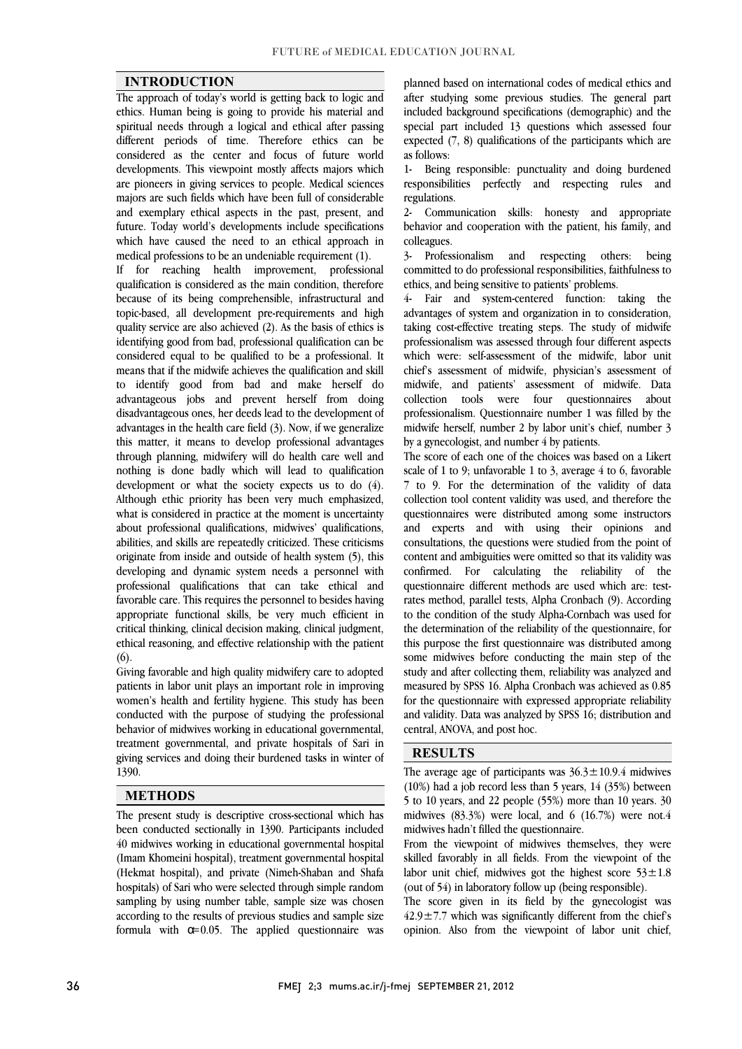### **INTRODUCTION**

 The approach of today's world is getting back to logic and ethics. Human being is going to provide his material and different periods of time. Therefore ethics can be considered as the center and focus of future world developments. This viewpoint mostly affects majors which are pioneers in giving services to people. Medical sciences and exemplary ethical aspects in the past, present, and future. Today world's developments include specifications which have caused the need to an ethical approach in spiritual needs through a logical and ethical after passing majors are such fields which have been full of considerable medical professions to be an undeniable requirement (1).

medical protessions to be an undeniable requirement (1).<br>If for reaching health improvement, professional qualification is considered as the main condition, therefore because of its being comprehensible, infrastructural and topic-based, all development pre-requirements and high quality service are also achieved (2). As the basis of ethics is considered equal to be qualified to be a professional. It means that if the midwife achieves the qualification and skill to identify good from bad and make herself do advantageous jobs and prevent herself from doing advantages in the health care field (3). Now, if we generalize this matter, it means to develop professional advantages through planning, midwifery will do health care well and development or what the society expects us to do (4). Although ethic priority has been very much emphasized, what is considered in practice at the moment is uncertainty about professional qualifications, midwives' qualifications, originate from inside and outside of health system (5), this developing and dynamic system needs a personnel with professional qualifications that can take ethical and favorable care. This requires the personnel to besides having critical thinking, clinical decision making, clinical judgment, ethical reasoning, and effective relationship with the patient identifying good from bad, professional qualification can be disadvantageous ones, her deeds lead to the development of nothing is done badly which will lead to qualification abilities, and skills are repeatedly criticized. These criticisms appropriate functional skills, be very much efficient in (6).

 Giving favorable and high quality midwifery care to adopted women's health and fertility hygiene. This study has been conducted with the purpose of studying the professional behavior of midwives working in educational governmental, treatment governmental, and private hospitals of Sari in giving services and doing their burdened tasks in winter of 1390 patients in labor unit plays an important role in improving 1390.

#### **METHODS**

 $\overline{a}$  been conducted sectionally in 1390. Participants included 40 midwives working in educational governmental hospital (Imam Khomeini hospital), treatment governmental hospital (Hekmat hospital), and private (Nimeh-Shaban and Shafa nosphals) of sari who were selected unough simple random<br>sampling by using number table, sample size was chosen according to the results of previous studies and sample size formula with  $\alpha$ =0.05. The applied questionnaire was The present study is descriptive cross-sectional which has hospitals) of Sari who were selected through simple random

 after studying some previous studies. The general part included background specifications (demographic) and the expected (7, 8) qualifications of the participants which are planned based on international codes of medical ethics and special part included 13 questions which assessed four as follows:

 1- Being responsible: punctuality and doing burdened responsibilities perfectly and respecting rules and regulations.

 2- Communication skills: honesty and appropriate behavior and cooperation with the patient, his family, and colleagues.

ŗ committed to do professional responsibilities, faithfulness to 3- Professionalism and respecting others: being ethics, and being sensitive to patients' problems.

 4- Fair and system-centered function: taking the advantages of system and organization in to consideration, taking cost-effective treating steps. The study of midwife which were: self-assessment of the midwife, labor unit chief's assessment of midwife, physician's assessment of midwife, and patients' assessment of midwife. Data professionalism. Questionnaire number 1 was filled by the midwife herself, number 2 by labor unit's chief, number 3 professionalism was assessed through four different aspects collection tools were four questionnaires about by a gynecologist, and number 4 by patients.

 The score of each one of the choices was based on a Likert  $7$  to 9. For the determination of the validity of data collection tool content validity was used, and therefore the questionnaires were distributed among some instructors and experts and with using their opinions and content and ambiguities were omitted so that its validity was confirmed. For calculating the reliability of the questionnaire different methods are used which are: test- rates method, parallel tests, Alpha Cronbach (9). According the determination of the reliability of the questionnaire, for this purpose the first questionnaire was distributed among some midwives before conducting the main step of the study and after collecting them, reliability was analyzed and<br>necessary the CDS 16, there can also present in the 0.05 for the questionnaire with expressed appropriate reliability and validity. Data was analyzed by SPSS 16; distribution and scale of 1 to 9; unfavorable 1 to 3, average 4 to 6, favorable consultations, the questions were studied from the point of to the condition of the study Alpha-Cornbach was used for measured by SPSS 16. Alpha Cronbach was achieved as 0.85 central, ANOVA, and post hoc.

### **RESULTS**

The average age of participants was  $36.3 \pm 10.9.4$  midwives (10%) had a job record less than 5 years, 14 (35%) between 5 to 10 years, and 22 people (55%) more than 10 years. 30 midwives  $(83.3%)$  were local, and 6  $(16.7%)$  were not.4 midwives hadn't filled the questionnaire.

From the viewpoint of midwives themselves, they were skilled favorably in all fields. From the viewpoint of the labor unit chief, midwives got the highest score  $53 \pm 1.8$ (out of 54) in laboratory follow up (being responsible).

 The score given in its field by the gynecologist was  $42.9 \pm 7.7$  which was significantly different from the chief's opinion. Also from the viewpoint of labor unit chief,

 $\overline{a}$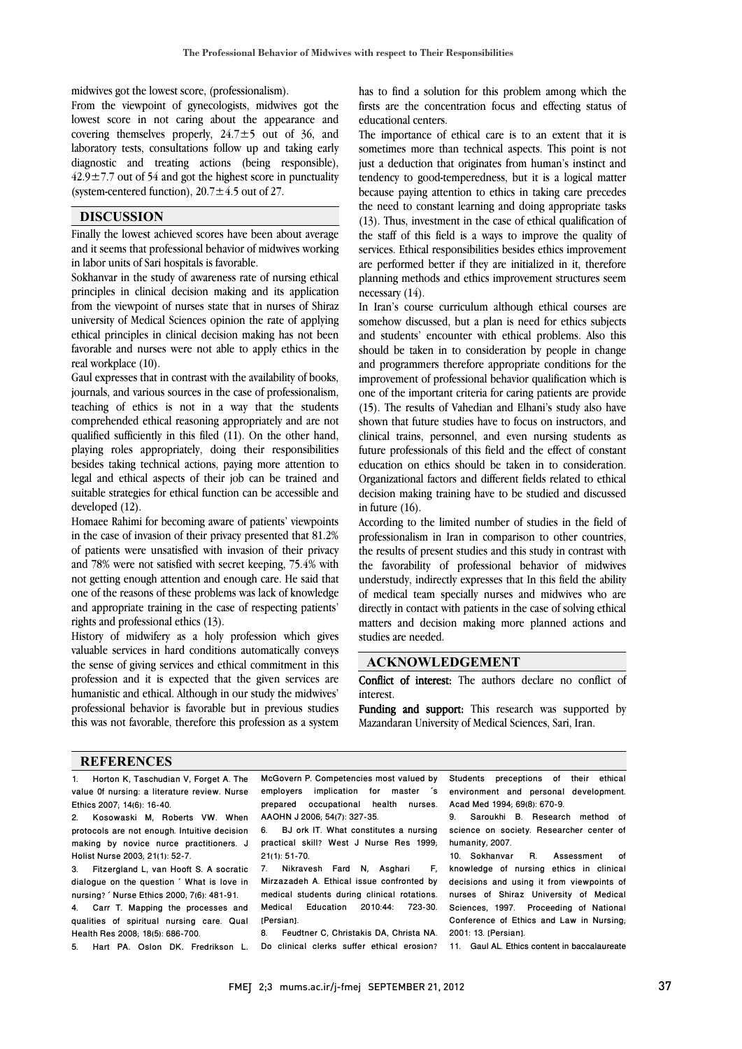$\overline{a}$ 

midwives got the lowest score, (professionalism).

midwives got the towest score, (professionalism).<br>From the viewpoint of gynecologists, midwives got the lowest score in not caring about the appearance and covering themselves properly,  $24.7 \pm 5$  out of 36, and laboratory tests, consultations follow up and taking early diagnostic and treating actions (being responsible),  $42.9 \pm 7.7$  out of 54 and got the highest score in punctuality diagnostic and treating actions (being responsible), (system-centered function),  $20.7 \pm 4.5$  out of 27.

### **DISCUSSION**

**THSC USSION**  and it seems that professional behavior of midwives working in labor units of Sari hospitals is favorable.

 Sokhanvar in the study of awareness rate of nursing ethical principles in clinical decision making and its application university of Medical Sciences opinion the rate of applying ethical principles in clinical decision making has not been favorable and nurses were not able to apply ethics in the from the viewpoint of nurses state that in nurses of Shiraz real workplace (10).

real workplace (10).<br>Gaul expresses that in contrast with the availability of books, journals, and various sources in the case of professionalism, teaching of ethics is not in a way that the students comprehended ethical reasoning appropriately and are not quanned sumclemuy in this med (11). On the other hand,<br>playing roles appropriately, doing their responsibilities besides taking technical actions, paying more attention to legal and ethical aspects of their job can be trained and suitable strategies for ethical function can be accessible and qualified sufficiently in this filed (11). On the other hand, developed (12).

developed (12).<br>Homaee Rahimi for becoming aware of patients' viewpoints in the case of invasion of their privacy presented that 81.2% of patients were unsatisfied with invasion of their privacy and 78% were not satisfied with secret keeping, 75.4% with one of the reasons of these problems was lack of knowledge and appropriate training in the case of respecting patients' not getting enough attention and enough care. He said that rights and professional ethics (13).

 History of midwifery as a holy profession which gives the sense of giving services and ethical commitment in this profession and it is expected that the given services are humanistic and ethical. Although in our study the midwives' professional behavior is favorable but in previous studies this was not favorable, therefore this profession as a system valuable services in hard conditions automatically conveys

 has to find a solution for this problem among which the firsts are the concentration focus and effecting status of educational centers educational centers.

 The importance of ethical care is to an extent that it is sometimes more than technical aspects. This point is not because paying attention to ethics in taking care precedes the need to constant learning and doing appropriate tasks (13). Thus, investment in the case of ethical qualification of services. Ethical responsibilities besides ethics improvement are performed better if they are initialized in it, therefore planning methods and ethics improvement structures seem just a deduction that originates from human's instinct and tendency to good-temperedness, but it is a logical matter the staff of this field is a ways to improve the quality of necessary (14).

necessary (14).<br>In Iran's course curriculum although ethical courses are somehow discussed, but a plan is need for ethics subjects and students' encounter with ethical problems. Also this should be taken in to consideration by people in change and programmers therefore appropriate conditions for the one of the important criteria for caring patients are provide (15). The results of Vahedian and Elhani's study also have shown that future studies have to focus on instructors, and clinical trains, personnel, and even nursing students as education on ethics should be taken in to consideration. Organizational factors and different fields related to ethical decision making training have to be studied and discussed improvement of professional behavior qualification which is future professionals of this field and the effect of constant in future (16).

 According to the limited number of studies in the field of professionalism in Iran in comparison to other countries, the results of present studies and this study in contrast with the favorability of professional behavior of midwives of medical team specially nurses and midwives who are directly in contact with patients in the case of solving ethical matters and decision making more planned actions and understudy, indirectly expresses that In this field the ability studies are needed.

### **ACKNOWLEDGEMENT**

 Conflict of interest: The authors declare no conflict of interest.

Funding and support: This research was supported by Mazandaran University of Medical Sciences, Sari, Iran.

#### **REFERENCES**

1. Horton K, Taschudian V, Forget A. The value 0f nursing: a literature review. Nurse Ethics 2007; 14(6): 16-40.

Kosowaski M, Roberts VW. When protocols are not enough. Intuitive decision making by novice nurce practitioners. J Holist Nurse 2003; 21(1): 52-7.

3. Fitzergland L, van Hooft S. A socratic dialogue on the question ´ What is love in nursing? ´ Nurse Ethics 2000; 7(6): 481-91. 4. Carr T. Mapping the processes and qualities of spiritual nursing care. Qual Health Res 2008; 18(5): 686-700.

5. Hart PA, Oslon DK, Fredrikson L,

l mcabvern P. Competencies most valued by<br>employers implication for master 's prepared occupational health nurses. McGovern P. Competencies most valued by AAOHN J 2006; 54(7): 327-35.

 $\overline{a}$ 

AAOHN J 2006; 54(7): 327-35.<br>6. BJ ork IT. What constitutes a nursing practical skill? West J Nurse Res 1999; 21(1): 51-70.

Mirzazadeh A. Ethical issue confronted by<br>Mirzazadeh A. Ethical issue confronted by medical students during clinical rotations. Medical Education 2010:44: 723-30. 7. Nikravesh Fard N, Asghari F, [Persian].<br>8. Feud

 8. Feudtner C, Christakis DA, Christa NA. Do clinical clerks suffer ethical erosion?

ethical environment and personal development. Students preceptions of their Acad Med 1994; 69(8): 670-9.

 $\overline{a}$ 

9. Saroukhi B. Hesearch method of<br>science on society. Researcher center of 9. Saroukhi B. Research method of humanity, 2007.

10. Sokhanvar R. Assessment of<br>knowledge of nursing ethics in clinical decisions and using it from viewpoints of nurses of Shiraz University of Medical Sciences, 1997. Proceeding of National<br>Conference of Ethics and Law in Nursing; I 10. Sokhanvar R. Assessment Sciences, 1997. Proceeding of National 2001: 13. [Persian].

11. Gaul AL. Ethics content in baccalaureate